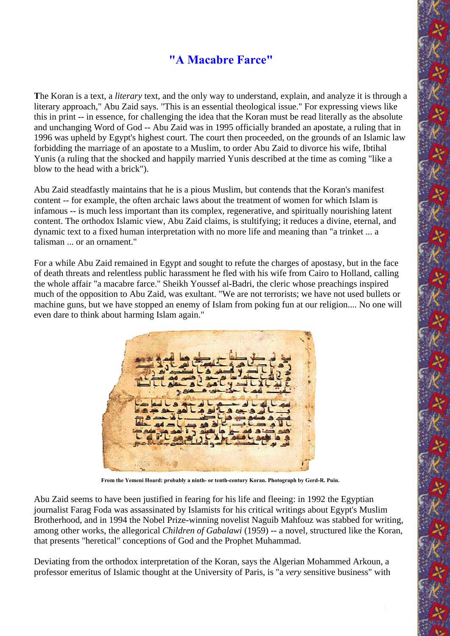## **"A Macabre Farce"**

**T**he Koran is a text, a *literary* text, and the only way to understand, explain, and analyze it is through a literary approach," Abu Zaid says. "This is an essential theological issue." For expressing views like this in print -- in essence, for challenging the idea that the Koran must be read literally as the absolute and unchanging Word of God -- Abu Zaid was in 1995 officially branded an apostate, a ruling that in 1996 was upheld by Egypt's highest court. The court then proceeded, on the grounds of an Islamic law forbidding the marriage of an apostate to a Muslim, to order Abu Zaid to divorce his wife, Ibtihal Yunis (a ruling that the shocked and happily married Yunis described at the time as coming "like a blow to the head with a brick").

Abu Zaid steadfastly maintains that he is a pious Muslim, but contends that the Koran's manifest content -- for example, the often archaic laws about the treatment of women for which Islam is infamous -- is much less important than its complex, regenerative, and spiritually nourishing latent content. The orthodox Islamic view, Abu Zaid claims, is stultifying; it reduces a divine, eternal, and dynamic text to a fixed human interpretation with no more life and meaning than "a trinket ... a talisman ... or an ornament."

For a while Abu Zaid remained in Egypt and sought to refute the charges of apostasy, but in the face of death threats and relentless public harassment he fled with his wife from Cairo to Holland, calling the whole affair "a macabre farce." Sheikh Youssef al-Badri, the cleric whose preachings inspired much of the opposition to Abu Zaid, was exultant. "We are not terrorists; we have not used bullets or machine guns, but we have stopped an enemy of Islam from poking fun at our religion.... No one will even dare to think about harming Islam again."



**From the Yemeni Hoard: probably a ninth- or tenth-century Koran. Photograph by Gerd-R. Puin.** 

Abu Zaid seems to have been justified in fearing for his life and fleeing: in 1992 the Egyptian journalist Farag Foda was assassinated by Islamists for his critical writings about Egypt's Muslim Brotherhood, and in 1994 the Nobel Prize-winning novelist Naguib Mahfouz was stabbed for writing, among other works, the allegorical *Children of Gabalawi* (1959) -- a novel, structured like the Koran, that presents "heretical" conceptions of God and the Prophet Muhammad.

Deviating from the orthodox interpretation of the Koran, says the Algerian Mohammed Arkoun, a professor emeritus of Islamic thought at the University of Paris, is "a *very* sensitive business" with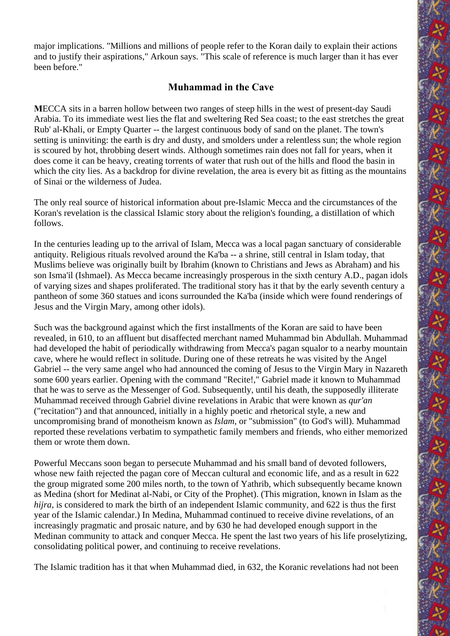major implications. "Millions and millions of people refer to the Koran daily to explain their actions and to justify their aspirations," Arkoun says. "This scale of reference is much larger than it has ever been before."

## **Muhammad in the Cave**

**M**ECCA sits in a barren hollow between two ranges of steep hills in the west of present-day Saudi Arabia. To its immediate west lies the flat and sweltering Red Sea coast; to the east stretches the great Rub' al-Khali, or Empty Quarter -- the largest continuous body of sand on the planet. The town's setting is uninviting: the earth is dry and dusty, and smolders under a relentless sun; the whole region is scoured by hot, throbbing desert winds. Although sometimes rain does not fall for years, when it does come it can be heavy, creating torrents of water that rush out of the hills and flood the basin in which the city lies. As a backdrop for divine revelation, the area is every bit as fitting as the mountains of Sinai or the wilderness of Judea.

The only real source of historical information about pre-Islamic Mecca and the circumstances of the Koran's revelation is the classical Islamic story about the religion's founding, a distillation of which follows.

In the centuries leading up to the arrival of Islam, Mecca was a local pagan sanctuary of considerable antiquity. Religious rituals revolved around the Ka'ba -- a shrine, still central in Islam today, that Muslims believe was originally built by Ibrahim (known to Christians and Jews as Abraham) and his son Isma'il (Ishmael). As Mecca became increasingly prosperous in the sixth century A.D., pagan idols of varying sizes and shapes proliferated. The traditional story has it that by the early seventh century a pantheon of some 360 statues and icons surrounded the Ka'ba (inside which were found renderings of Jesus and the Virgin Mary, among other idols).

Such was the background against which the first installments of the Koran are said to have been revealed, in 610, to an affluent but disaffected merchant named Muhammad bin Abdullah. Muhammad had developed the habit of periodically withdrawing from Mecca's pagan squalor to a nearby mountain cave, where he would reflect in solitude. During one of these retreats he was visited by the Angel Gabriel -- the very same angel who had announced the coming of Jesus to the Virgin Mary in Nazareth some 600 years earlier. Opening with the command "Recite!," Gabriel made it known to Muhammad that he was to serve as the Messenger of God. Subsequently, until his death, the supposedly illiterate Muhammad received through Gabriel divine revelations in Arabic that were known as *qur'an*  ("recitation") and that announced, initially in a highly poetic and rhetorical style, a new and uncompromising brand of monotheism known as *Islam,* or "submission" (to God's will). Muhammad reported these revelations verbatim to sympathetic family members and friends, who either memorized them or wrote them down.

Powerful Meccans soon began to persecute Muhammad and his small band of devoted followers, whose new faith rejected the pagan core of Meccan cultural and economic life, and as a result in 622 the group migrated some 200 miles north, to the town of Yathrib, which subsequently became known as Medina (short for Medinat al-Nabi, or City of the Prophet). (This migration, known in Islam as the *hijra,* is considered to mark the birth of an independent Islamic community, and 622 is thus the first year of the Islamic calendar.) In Medina, Muhammad continued to receive divine revelations, of an increasingly pragmatic and prosaic nature, and by 630 he had developed enough support in the Medinan community to attack and conquer Mecca. He spent the last two years of his life proselytizing, consolidating political power, and continuing to receive revelations.

The Islamic tradition has it that when Muhammad died, in 632, the Koranic revelations had not been